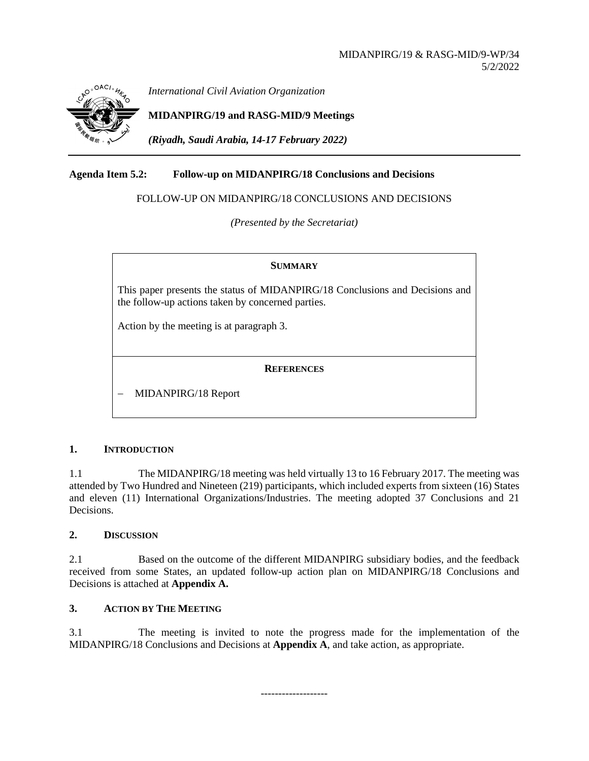

*International Civil Aviation Organization*

**MIDANPIRG/19 and RASG-MID/9 Meetings**

*(Riyadh, Saudi Arabia, 14-17 February 2022)*

# **Agenda Item 5.2: Follow-up on MIDANPIRG/18 Conclusions and Decisions**

FOLLOW-UP ON MIDANPIRG/18 CONCLUSIONS AND DECISIONS

*(Presented by the Secretariat)*

#### **SUMMARY**

This paper presents the status of MIDANPIRG/18 Conclusions and Decisions and the follow-up actions taken by concerned parties.

Action by the meeting is at paragraph 3.

### **REFERENCES**

− MIDANPIRG/18 Report

# **1. INTRODUCTION**

1.1 The MIDANPIRG/18 meeting was held virtually 13 to 16 February 2017. The meeting was attended by Two Hundred and Nineteen (219) participants, which included experts from sixteen (16) States and eleven (11) International Organizations/Industries. The meeting adopted 37 Conclusions and 21 Decisions.

# **2. DISCUSSION**

2.1 Based on the outcome of the different MIDANPIRG subsidiary bodies, and the feedback received from some States, an updated follow-up action plan on MIDANPIRG/18 Conclusions and Decisions is attached at **Appendix A.**

# **3. ACTION BY THE MEETING**

3.1 The meeting is invited to note the progress made for the implementation of the MIDANPIRG/18 Conclusions and Decisions at **Appendix A**, and take action, as appropriate.

-------------------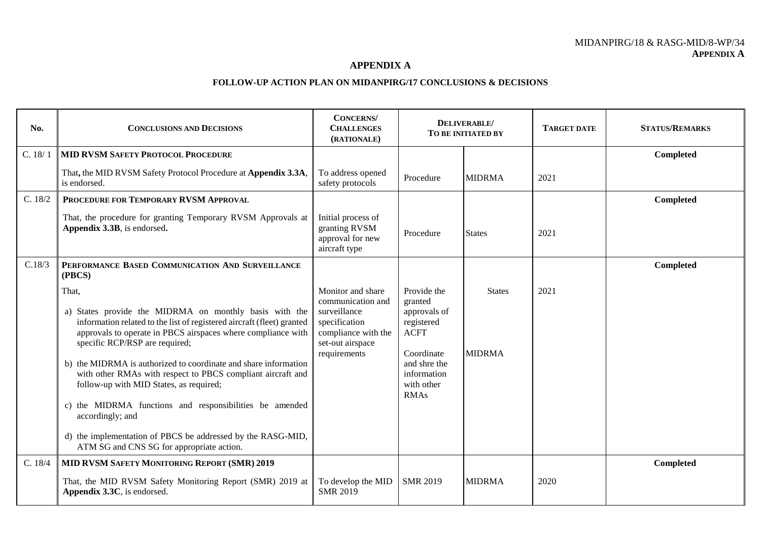#### MIDANPIRG/18 & RASG-MID/8-WP/34 **APPENDIX A**

#### **APPENDIX A**

#### **FOLLOW-UP ACTION PLAN ON MIDANPIRG/17 CONCLUSIONS & DECISIONS**

| No.     | <b>CONCLUSIONS AND DECISIONS</b>                                                                                                                                                                                                                                                                                                                                                                                                                                                                                                                                                                                    | <b>CONCERNS</b><br><b>CHALLENGES</b><br>(RATIONALE)                                                                                |                                                                                                                                               | DELIVERABLE/<br>TO BE INITIATED BY | <b>TARGET DATE</b> | <b>STATUS/REMARKS</b> |
|---------|---------------------------------------------------------------------------------------------------------------------------------------------------------------------------------------------------------------------------------------------------------------------------------------------------------------------------------------------------------------------------------------------------------------------------------------------------------------------------------------------------------------------------------------------------------------------------------------------------------------------|------------------------------------------------------------------------------------------------------------------------------------|-----------------------------------------------------------------------------------------------------------------------------------------------|------------------------------------|--------------------|-----------------------|
| C. 18/1 | <b>MID RVSM SAFETY PROTOCOL PROCEDURE</b>                                                                                                                                                                                                                                                                                                                                                                                                                                                                                                                                                                           |                                                                                                                                    |                                                                                                                                               |                                    |                    | Completed             |
|         | That, the MID RVSM Safety Protocol Procedure at Appendix 3.3A,<br>is endorsed.                                                                                                                                                                                                                                                                                                                                                                                                                                                                                                                                      | To address opened<br>safety protocols                                                                                              | Procedure                                                                                                                                     | <b>MIDRMA</b>                      | 2021               |                       |
| C. 18/2 | PROCEDURE FOR TEMPORARY RVSM APPROVAL                                                                                                                                                                                                                                                                                                                                                                                                                                                                                                                                                                               |                                                                                                                                    |                                                                                                                                               |                                    |                    | Completed             |
|         | That, the procedure for granting Temporary RVSM Approvals at<br>Appendix 3.3B, is endorsed.                                                                                                                                                                                                                                                                                                                                                                                                                                                                                                                         | Initial process of<br>granting RVSM<br>approval for new<br>aircraft type                                                           | Procedure                                                                                                                                     | <b>States</b>                      | 2021               |                       |
| C.18/3  | PERFORMANCE BASED COMMUNICATION AND SURVEILLANCE<br>(PBCS)                                                                                                                                                                                                                                                                                                                                                                                                                                                                                                                                                          |                                                                                                                                    |                                                                                                                                               |                                    |                    | Completed             |
|         | That,<br>a) States provide the MIDRMA on monthly basis with the<br>information related to the list of registered aircraft (fleet) granted<br>approvals to operate in PBCS airspaces where compliance with<br>specific RCP/RSP are required;<br>b) the MIDRMA is authorized to coordinate and share information<br>with other RMAs with respect to PBCS compliant aircraft and<br>follow-up with MID States, as required;<br>c) the MIDRMA functions and responsibilities be amended<br>accordingly; and<br>d) the implementation of PBCS be addressed by the RASG-MID,<br>ATM SG and CNS SG for appropriate action. | Monitor and share<br>communication and<br>surveillance<br>specification<br>compliance with the<br>set-out airspace<br>requirements | Provide the<br>granted<br>approvals of<br>registered<br><b>ACFT</b><br>Coordinate<br>and shre the<br>information<br>with other<br><b>RMAs</b> | <b>States</b><br><b>MIDRMA</b>     | 2021               |                       |
| C. 18/4 | MID RVSM SAFETY MONITORING REPORT (SMR) 2019                                                                                                                                                                                                                                                                                                                                                                                                                                                                                                                                                                        |                                                                                                                                    |                                                                                                                                               |                                    |                    | Completed             |
|         | That, the MID RVSM Safety Monitoring Report (SMR) 2019 at<br>Appendix 3.3C, is endorsed.                                                                                                                                                                                                                                                                                                                                                                                                                                                                                                                            | To develop the MID<br><b>SMR 2019</b>                                                                                              | <b>SMR 2019</b>                                                                                                                               | <b>MIDRMA</b>                      | 2020               |                       |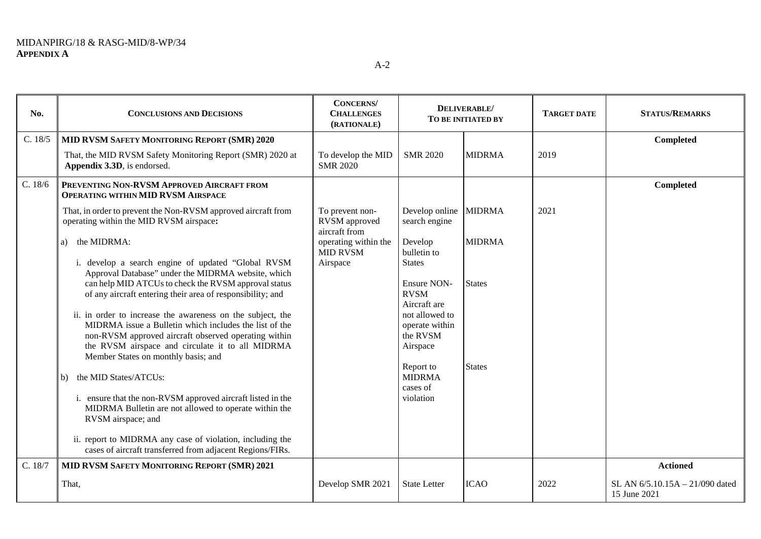| No.     | <b>CONCLUSIONS AND DECISIONS</b>                                                                                                                                 | <b>CONCERNS</b><br><b>CHALLENGES</b><br>(RATIONALE) |                                               | DELIVERABLE/<br>TO BE INITIATED BY | <b>TARGET DATE</b> | <b>STATUS/REMARKS</b>                           |
|---------|------------------------------------------------------------------------------------------------------------------------------------------------------------------|-----------------------------------------------------|-----------------------------------------------|------------------------------------|--------------------|-------------------------------------------------|
| C. 18/5 | MID RVSM SAFETY MONITORING REPORT (SMR) 2020                                                                                                                     |                                                     |                                               |                                    |                    | Completed                                       |
|         | That, the MID RVSM Safety Monitoring Report (SMR) 2020 at<br>Appendix 3.3D, is endorsed.                                                                         | To develop the MID<br><b>SMR 2020</b>               | <b>SMR 2020</b>                               | <b>MIDRMA</b>                      | 2019               |                                                 |
| C. 18/6 | PREVENTING NON-RVSM APPROVED AIRCRAFT FROM<br><b>OPERATING WITHIN MID RVSM AIRSPACE</b>                                                                          |                                                     |                                               |                                    |                    | Completed                                       |
|         | That, in order to prevent the Non-RVSM approved aircraft from<br>operating within the MID RVSM airspace:                                                         | To prevent non-<br>RVSM approved<br>aircraft from   | Develop online MIDRMA<br>search engine        |                                    | 2021               |                                                 |
|         | the MIDRMA:<br>a)                                                                                                                                                | operating within the<br><b>MID RVSM</b>             | Develop<br>bulletin to                        | <b>MIDRMA</b>                      |                    |                                                 |
|         | i. develop a search engine of updated "Global RVSM<br>Approval Database" under the MIDRMA website, which<br>can help MID ATCUs to check the RVSM approval status | Airspace                                            | <b>States</b><br>Ensure NON-                  | <b>States</b>                      |                    |                                                 |
|         | of any aircraft entering their area of responsibility; and<br>ii. in order to increase the awareness on the subject, the                                         |                                                     | <b>RVSM</b><br>Aircraft are<br>not allowed to |                                    |                    |                                                 |
|         | MIDRMA issue a Bulletin which includes the list of the<br>non-RVSM approved aircraft observed operating within                                                   |                                                     | operate within<br>the RVSM                    |                                    |                    |                                                 |
|         | the RVSM airspace and circulate it to all MIDRMA<br>Member States on monthly basis; and                                                                          |                                                     | Airspace<br>Report to                         | <b>States</b>                      |                    |                                                 |
|         | the MID States/ATCUs:<br>b)                                                                                                                                      |                                                     | <b>MIDRMA</b><br>cases of                     |                                    |                    |                                                 |
|         | i. ensure that the non-RVSM approved aircraft listed in the<br>MIDRMA Bulletin are not allowed to operate within the<br>RVSM airspace; and                       |                                                     | violation                                     |                                    |                    |                                                 |
|         | ii. report to MIDRMA any case of violation, including the<br>cases of aircraft transferred from adjacent Regions/FIRs.                                           |                                                     |                                               |                                    |                    |                                                 |
| C. 18/7 | MID RVSM SAFETY MONITORING REPORT (SMR) 2021                                                                                                                     |                                                     |                                               |                                    |                    | <b>Actioned</b>                                 |
|         | That,                                                                                                                                                            | Develop SMR 2021                                    | <b>State Letter</b>                           | <b>ICAO</b>                        | 2022               | SL AN 6/5.10.15A - 21/090 dated<br>15 June 2021 |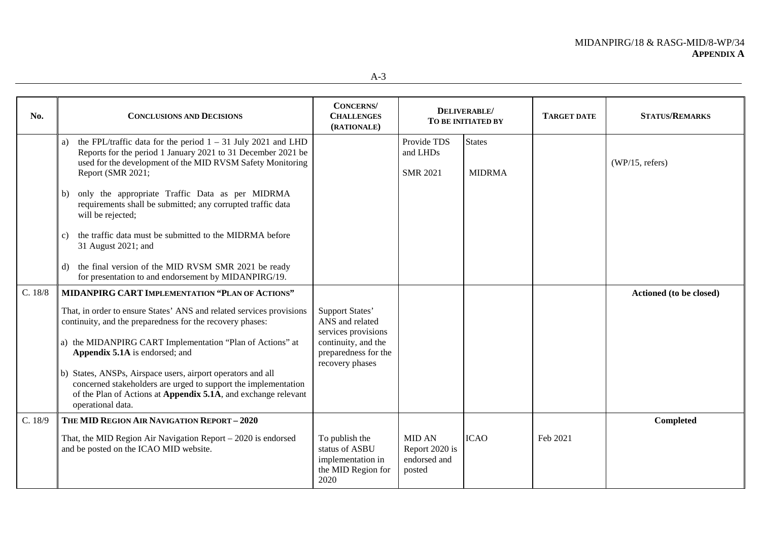| No.     | <b>CONCLUSIONS AND DECISIONS</b>                                                                                                                                                                                        | <b>CONCERNS</b> /<br><b>CHALLENGES</b><br>(RATIONALE)                               |                                                           | DELIVERABLE/<br>TO BE INITIATED BY | <b>TARGET DATE</b> | <b>STATUS/REMARKS</b>   |
|---------|-------------------------------------------------------------------------------------------------------------------------------------------------------------------------------------------------------------------------|-------------------------------------------------------------------------------------|-----------------------------------------------------------|------------------------------------|--------------------|-------------------------|
|         | the FPL/traffic data for the period $1 - 31$ July 2021 and LHD<br>a)<br>Reports for the period 1 January 2021 to 31 December 2021 be<br>used for the development of the MID RVSM Safety Monitoring<br>Report (SMR 2021; |                                                                                     | Provide TDS<br>and LHDs<br><b>SMR 2021</b>                | <b>States</b><br><b>MIDRMA</b>     |                    | (WP/15, refers)         |
|         | only the appropriate Traffic Data as per MIDRMA<br>b)<br>requirements shall be submitted; any corrupted traffic data<br>will be rejected;                                                                               |                                                                                     |                                                           |                                    |                    |                         |
|         | the traffic data must be submitted to the MIDRMA before<br>C)<br>31 August 2021; and                                                                                                                                    |                                                                                     |                                                           |                                    |                    |                         |
|         | the final version of the MID RVSM SMR 2021 be ready<br>d)<br>for presentation to and endorsement by MIDANPIRG/19.                                                                                                       |                                                                                     |                                                           |                                    |                    |                         |
| C. 18/8 | MIDANPIRG CART IMPLEMENTATION "PLAN OF ACTIONS"                                                                                                                                                                         |                                                                                     |                                                           |                                    |                    | Actioned (to be closed) |
|         | That, in order to ensure States' ANS and related services provisions<br>continuity, and the preparedness for the recovery phases:                                                                                       | Support States'<br>ANS and related<br>services provisions                           |                                                           |                                    |                    |                         |
|         | a) the MIDANPIRG CART Implementation "Plan of Actions" at<br>Appendix 5.1A is endorsed; and                                                                                                                             | continuity, and the<br>preparedness for the<br>recovery phases                      |                                                           |                                    |                    |                         |
|         | b) States, ANSPs, Airspace users, airport operators and all<br>concerned stakeholders are urged to support the implementation<br>of the Plan of Actions at Appendix 5.1A, and exchange relevant<br>operational data.    |                                                                                     |                                                           |                                    |                    |                         |
| C. 18/9 | THE MID REGION AIR NAVIGATION REPORT - 2020                                                                                                                                                                             |                                                                                     |                                                           |                                    |                    | Completed               |
|         | That, the MID Region Air Navigation Report - 2020 is endorsed<br>and be posted on the ICAO MID website.                                                                                                                 | To publish the<br>status of ASBU<br>implementation in<br>the MID Region for<br>2020 | <b>MID AN</b><br>Report 2020 is<br>endorsed and<br>posted | <b>ICAO</b>                        | Feb 2021           |                         |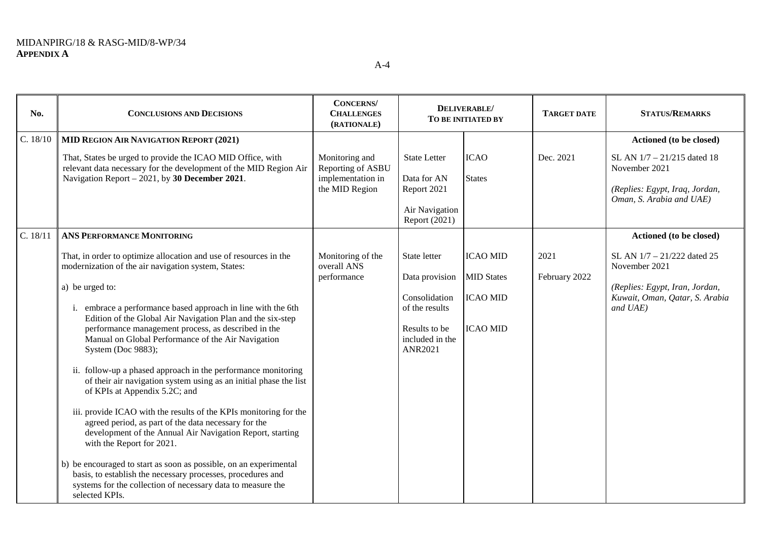| No.      | <b>CONCLUSIONS AND DECISIONS</b>                                                                                                                                                                                                                                                                                                                                                                                                                                                                                                                                                                                                                                                                                                                                                                                                                                                                                                                                                                                                                                     | <b>CONCERNS</b><br><b>CHALLENGES</b><br>(RATIONALE)                        |                                                                                                                                    | DELIVERABLE/<br>TO BE INITIATED BY                    | <b>TARGET DATE</b>    | <b>STATUS/REMARKS</b>                                                                                                                                   |
|----------|----------------------------------------------------------------------------------------------------------------------------------------------------------------------------------------------------------------------------------------------------------------------------------------------------------------------------------------------------------------------------------------------------------------------------------------------------------------------------------------------------------------------------------------------------------------------------------------------------------------------------------------------------------------------------------------------------------------------------------------------------------------------------------------------------------------------------------------------------------------------------------------------------------------------------------------------------------------------------------------------------------------------------------------------------------------------|----------------------------------------------------------------------------|------------------------------------------------------------------------------------------------------------------------------------|-------------------------------------------------------|-----------------------|---------------------------------------------------------------------------------------------------------------------------------------------------------|
| C. 18/10 | <b>MID REGION AIR NAVIGATION REPORT (2021)</b><br>That, States be urged to provide the ICAO MID Office, with<br>relevant data necessary for the development of the MID Region Air<br>Navigation Report – 2021, by 30 December 2021.                                                                                                                                                                                                                                                                                                                                                                                                                                                                                                                                                                                                                                                                                                                                                                                                                                  | Monitoring and<br>Reporting of ASBU<br>implementation in<br>the MID Region | <b>State Letter</b><br>Data for AN<br>Report 2021<br>Air Navigation<br>Report (2021)                                               | <b>ICAO</b><br><b>States</b>                          | Dec. 2021             | Actioned (to be closed)<br>SL AN 1/7 - 21/215 dated 18<br>November 2021<br>(Replies: Egypt, Iraq, Jordan,<br>Oman, S. Arabia and UAE)                   |
| C. 18/11 | <b>ANS PERFORMANCE MONITORING</b><br>That, in order to optimize allocation and use of resources in the<br>modernization of the air navigation system, States:<br>a) be urged to:<br>i. embrace a performance based approach in line with the 6th<br>Edition of the Global Air Navigation Plan and the six-step<br>performance management process, as described in the<br>Manual on Global Performance of the Air Navigation<br>System (Doc 9883);<br>ii. follow-up a phased approach in the performance monitoring<br>of their air navigation system using as an initial phase the list<br>of KPIs at Appendix 5.2C; and<br>iii. provide ICAO with the results of the KPIs monitoring for the<br>agreed period, as part of the data necessary for the<br>development of the Annual Air Navigation Report, starting<br>with the Report for 2021.<br>b) be encouraged to start as soon as possible, on an experimental<br>basis, to establish the necessary processes, procedures and<br>systems for the collection of necessary data to measure the<br>selected KPIs. | Monitoring of the<br>overall ANS<br>performance                            | State letter<br>Data provision MID States<br>Consolidation<br>of the results<br>Results to be<br>included in the<br><b>ANR2021</b> | <b>ICAO MID</b><br><b>ICAO MID</b><br><b>ICAO MID</b> | 2021<br>February 2022 | Actioned (to be closed)<br>SL AN 1/7 - 21/222 dated 25<br>November 2021<br>(Replies: Egypt, Iran, Jordan,<br>Kuwait, Oman, Qatar, S. Arabia<br>and UAE) |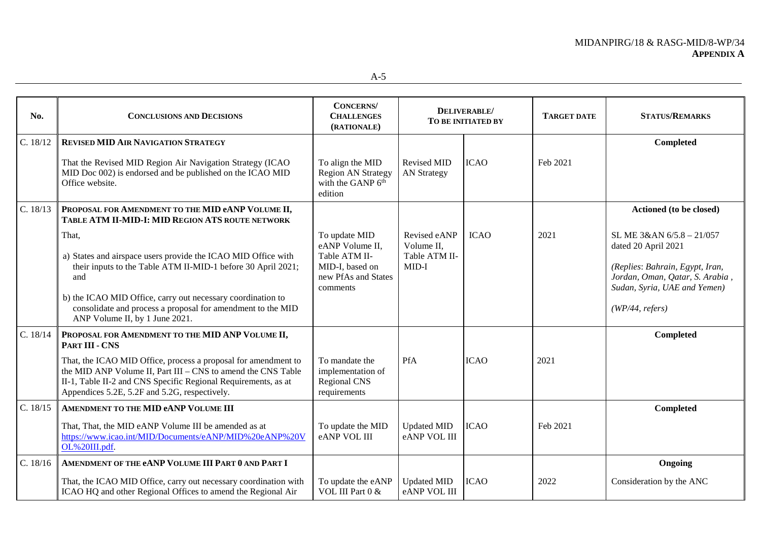| No.      | <b>CONCLUSIONS AND DECISIONS</b>                                                                                                                                                                                                                                                                              | <b>CONCERNS</b><br><b>CHALLENGES</b><br>(RATIONALE)                                                     |                                                      | DELIVERABLE/<br>TO BE INITIATED BY | <b>TARGET DATE</b> | <b>STATUS/REMARKS</b>                                                                                                                                                     |
|----------|---------------------------------------------------------------------------------------------------------------------------------------------------------------------------------------------------------------------------------------------------------------------------------------------------------------|---------------------------------------------------------------------------------------------------------|------------------------------------------------------|------------------------------------|--------------------|---------------------------------------------------------------------------------------------------------------------------------------------------------------------------|
| C. 18/12 | <b>REVISED MID AIR NAVIGATION STRATEGY</b>                                                                                                                                                                                                                                                                    |                                                                                                         |                                                      |                                    |                    | Completed                                                                                                                                                                 |
|          | That the Revised MID Region Air Navigation Strategy (ICAO<br>MID Doc 002) is endorsed and be published on the ICAO MID<br>Office website.                                                                                                                                                                     | To align the MID<br><b>Region AN Strategy</b><br>with the GANP 6 <sup>th</sup><br>edition               | <b>Revised MID</b><br><b>AN Strategy</b>             | <b>ICAO</b>                        | Feb 2021           |                                                                                                                                                                           |
| C. 18/13 | PROPOSAL FOR AMENDMENT TO THE MID eANP VOLUME II,<br>TABLE ATM II-MID-I: MID REGION ATS ROUTE NETWORK                                                                                                                                                                                                         |                                                                                                         |                                                      |                                    |                    | Actioned (to be closed)                                                                                                                                                   |
|          | That,<br>a) States and airspace users provide the ICAO MID Office with<br>their inputs to the Table ATM II-MID-1 before 30 April 2021;<br>and<br>b) the ICAO MID Office, carry out necessary coordination to<br>consolidate and process a proposal for amendment to the MID<br>ANP Volume II, by 1 June 2021. | To update MID<br>eANP Volume II,<br>Table ATM II-<br>MID-I, based on<br>new PfAs and States<br>comments | Revised eANP<br>Volume II.<br>Table ATM II-<br>MID-I | <b>ICAO</b>                        | 2021               | SL ME 3&AN 6/5.8 - 21/057<br>dated 20 April 2021<br>(Replies: Bahrain, Egypt, Iran,<br>Jordan, Oman, Qatar, S. Arabia,<br>Sudan, Syria, UAE and Yemen)<br>(WP/44, refers) |
| C. 18/14 | PROPOSAL FOR AMENDMENT TO THE MID ANP VOLUME II,<br><b>PART III - CNS</b>                                                                                                                                                                                                                                     |                                                                                                         |                                                      |                                    |                    | Completed                                                                                                                                                                 |
|          | That, the ICAO MID Office, process a proposal for amendment to<br>the MID ANP Volume II, Part III – CNS to amend the CNS Table<br>II-1, Table II-2 and CNS Specific Regional Requirements, as at<br>Appendices 5.2E, 5.2F and 5.2G, respectively.                                                             | To mandate the<br>implementation of<br><b>Regional CNS</b><br>requirements                              | <b>PfA</b>                                           | <b>ICAO</b>                        | 2021               |                                                                                                                                                                           |
| C. 18/15 | AMENDMENT TO THE MID eANP VOLUME III                                                                                                                                                                                                                                                                          |                                                                                                         |                                                      |                                    |                    | Completed                                                                                                                                                                 |
|          | That, That, the MID eANP Volume III be amended as at<br>https://www.icao.int/MID/Documents/eANP/MID%20eANP%20V<br>OL%20III.pdf.                                                                                                                                                                               | To update the MID<br>eANP VOL III                                                                       | <b>Updated MID</b><br>eANP VOL III                   | <b>ICAO</b>                        | Feb 2021           |                                                                                                                                                                           |
| C. 18/16 | AMENDMENT OF THE eANP VOLUME III PART 0 AND PART I                                                                                                                                                                                                                                                            |                                                                                                         |                                                      |                                    |                    | Ongoing                                                                                                                                                                   |
|          | That, the ICAO MID Office, carry out necessary coordination with<br>ICAO HQ and other Regional Offices to amend the Regional Air                                                                                                                                                                              | To update the eANP<br>VOL III Part 0 &                                                                  | <b>Updated MID</b><br>eANP VOL III                   | <b>ICAO</b>                        | 2022               | Consideration by the ANC                                                                                                                                                  |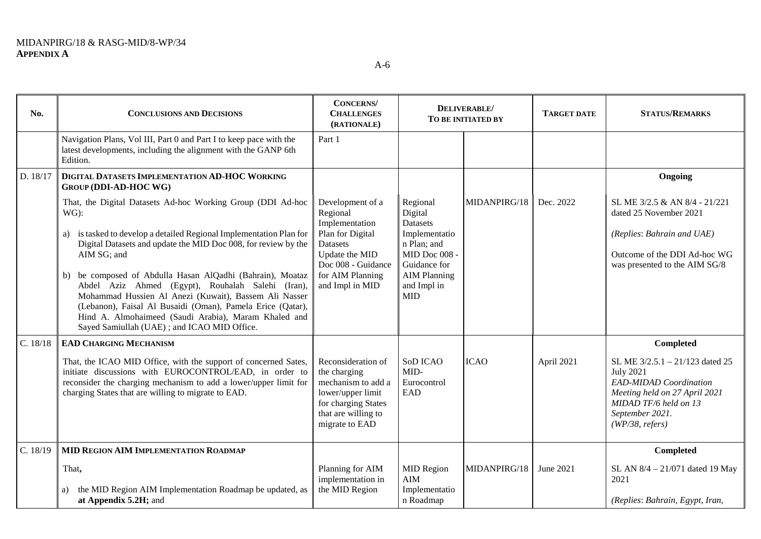| No.      | <b>CONCLUSIONS AND DECISIONS</b>                                                                                                                                                                                                                                                                                                                                                                                                                                                                                                                                               | <b>CONCERNS</b><br><b>CHALLENGES</b><br>(RATIONALE)                                                                                                           | DELIVERABLE/<br>TO BE INITIATED BY                                                                                                                   |              | <b>TARGET DATE</b> | <b>STATUS/REMARKS</b>                                                                                                                                                                |
|----------|--------------------------------------------------------------------------------------------------------------------------------------------------------------------------------------------------------------------------------------------------------------------------------------------------------------------------------------------------------------------------------------------------------------------------------------------------------------------------------------------------------------------------------------------------------------------------------|---------------------------------------------------------------------------------------------------------------------------------------------------------------|------------------------------------------------------------------------------------------------------------------------------------------------------|--------------|--------------------|--------------------------------------------------------------------------------------------------------------------------------------------------------------------------------------|
|          | Navigation Plans, Vol III, Part 0 and Part I to keep pace with the<br>latest developments, including the alignment with the GANP 6th<br>Edition.                                                                                                                                                                                                                                                                                                                                                                                                                               | Part 1                                                                                                                                                        |                                                                                                                                                      |              |                    |                                                                                                                                                                                      |
| D. 18/17 | DIGITAL DATASETS IMPLEMENTATION AD-HOC WORKING<br><b>GROUP (DDI-AD-HOC WG)</b>                                                                                                                                                                                                                                                                                                                                                                                                                                                                                                 |                                                                                                                                                               |                                                                                                                                                      |              |                    | Ongoing                                                                                                                                                                              |
|          | That, the Digital Datasets Ad-hoc Working Group (DDI Ad-hoc<br>$WG)$ :<br>a) is tasked to develop a detailed Regional Implementation Plan for<br>Digital Datasets and update the MID Doc 008, for review by the<br>AIM SG; and<br>b) be composed of Abdulla Hasan AlQadhi (Bahrain), Moataz<br>Abdel Aziz Ahmed (Egypt), Rouhalah Salehi (Iran),<br>Mohammad Hussien Al Anezi (Kuwait), Bassem Ali Nasser<br>(Lebanon), Faisal Al Busaidi (Oman), Pamela Erice (Qatar),<br>Hind A. Almohaimeed (Saudi Arabia), Maram Khaled and<br>Sayed Samiullah (UAE); and ICAO MID Office. | Development of a<br>Regional<br>Implementation<br>Plan for Digital<br>Datasets<br>Update the MID<br>Doc 008 - Guidance<br>for AIM Planning<br>and Impl in MID | Regional<br>Digital<br><b>Datasets</b><br>Implementatio<br>n Plan; and<br>MID Doc 008 -<br>Guidance for<br><b>AIM Planning</b><br>and Impl in<br>MID | MIDANPIRG/18 | Dec. 2022          | SL ME 3/2.5 & AN 8/4 - 21/221<br>dated 25 November 2021<br>(Replies: Bahrain and UAE)<br>Outcome of the DDI Ad-hoc WG<br>was presented to the AIM SG/8                               |
| C. 18/18 | <b>EAD CHARGING MECHANISM</b>                                                                                                                                                                                                                                                                                                                                                                                                                                                                                                                                                  |                                                                                                                                                               |                                                                                                                                                      |              |                    | Completed                                                                                                                                                                            |
|          | That, the ICAO MID Office, with the support of concerned Sates,<br>initiate discussions with EUROCONTROL/EAD, in order to<br>reconsider the charging mechanism to add a lower/upper limit for<br>charging States that are willing to migrate to EAD.                                                                                                                                                                                                                                                                                                                           | Reconsideration of<br>the charging<br>mechanism to add a<br>lower/upper limit<br>for charging States<br>that are willing to<br>migrate to EAD                 | SoD ICAO<br>MID-<br>Eurocontrol<br>EAD                                                                                                               | <b>ICAO</b>  | April 2021         | SL ME 3/2.5.1 - 21/123 dated 25<br><b>July 2021</b><br><b>EAD-MIDAD</b> Coordination<br>Meeting held on 27 April 2021<br>MIDAD TF/6 held on 13<br>September 2021.<br>(WP/38, refers) |
| C. 18/19 | <b>MID REGION AIM IMPLEMENTATION ROADMAP</b>                                                                                                                                                                                                                                                                                                                                                                                                                                                                                                                                   |                                                                                                                                                               |                                                                                                                                                      |              |                    | Completed                                                                                                                                                                            |
|          | That,<br>the MID Region AIM Implementation Roadmap be updated, as<br>a)<br>at Appendix 5.2H; and                                                                                                                                                                                                                                                                                                                                                                                                                                                                               | Planning for AIM<br>implementation in<br>the MID Region                                                                                                       | <b>MID Region</b><br><b>AIM</b><br>Implementatio<br>n Roadmap                                                                                        | MIDANPIRG/18 | June 2021          | SL AN 8/4 - 21/071 dated 19 May<br>2021<br>(Replies: Bahrain, Egypt, Iran,                                                                                                           |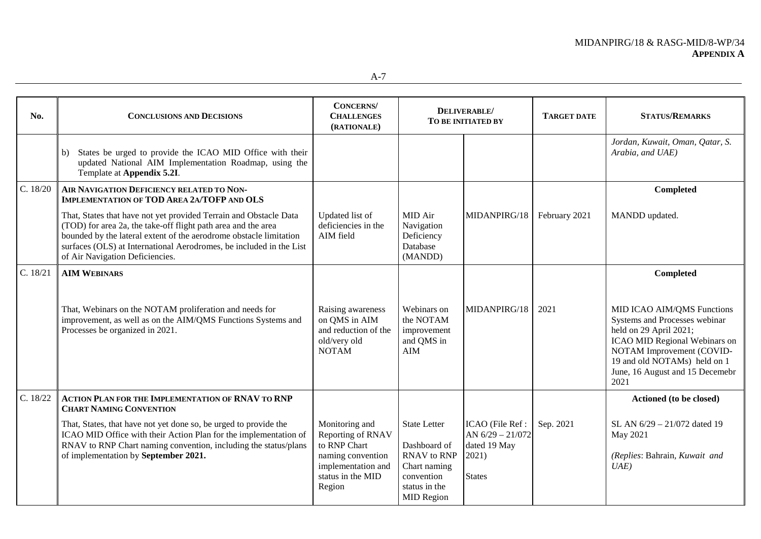| No.      | <b>CONCLUSIONS AND DECISIONS</b>                                                                                                                                                                                                                                                                                   | <b>CONCERNS</b><br><b>CHALLENGES</b><br>(RATIONALE)                                                                           |                                                                                                                               | DELIVERABLE/<br>TO BE INITIATED BY                                               | <b>TARGET DATE</b> | <b>STATUS/REMARKS</b>                                                                                                                                                                                                          |
|----------|--------------------------------------------------------------------------------------------------------------------------------------------------------------------------------------------------------------------------------------------------------------------------------------------------------------------|-------------------------------------------------------------------------------------------------------------------------------|-------------------------------------------------------------------------------------------------------------------------------|----------------------------------------------------------------------------------|--------------------|--------------------------------------------------------------------------------------------------------------------------------------------------------------------------------------------------------------------------------|
|          | States be urged to provide the ICAO MID Office with their<br>b)<br>updated National AIM Implementation Roadmap, using the<br>Template at Appendix 5.2I.                                                                                                                                                            |                                                                                                                               |                                                                                                                               |                                                                                  |                    | Jordan, Kuwait, Oman, Qatar, S.<br>Arabia, and UAE)                                                                                                                                                                            |
| C. 18/20 | AIR NAVIGATION DEFICIENCY RELATED TO NON-<br><b>IMPLEMENTATION OF TOD AREA 2A/TOFP AND OLS</b>                                                                                                                                                                                                                     |                                                                                                                               |                                                                                                                               |                                                                                  |                    | Completed                                                                                                                                                                                                                      |
|          | That, States that have not yet provided Terrain and Obstacle Data<br>(TOD) for area 2a, the take-off flight path area and the area<br>bounded by the lateral extent of the aerodrome obstacle limitation<br>surfaces (OLS) at International Aerodromes, be included in the List<br>of Air Navigation Deficiencies. | Updated list of<br>deficiencies in the<br>AIM field                                                                           | MID Air<br>Navigation<br>Deficiency<br>Database<br>(MANDD)                                                                    | MIDANPIRG/18                                                                     | February 2021      | MANDD updated.                                                                                                                                                                                                                 |
| C. 18/21 | <b>AIM WEBINARS</b>                                                                                                                                                                                                                                                                                                |                                                                                                                               |                                                                                                                               |                                                                                  |                    | Completed                                                                                                                                                                                                                      |
|          | That, Webinars on the NOTAM proliferation and needs for<br>improvement, as well as on the AIM/QMS Functions Systems and<br>Processes be organized in 2021.                                                                                                                                                         | Raising awareness<br>on QMS in AIM<br>and reduction of the<br>old/very old<br><b>NOTAM</b>                                    | Webinars on<br>the NOTAM<br>improvement<br>and QMS in<br>AIM                                                                  | MIDANPIRG/18                                                                     | 2021               | MID ICAO AIM/QMS Functions<br>Systems and Processes webinar<br>held on 29 April 2021;<br>ICAO MID Regional Webinars on<br>NOTAM Improvement (COVID-<br>19 and old NOTAMs) held on 1<br>June, 16 August and 15 Decemebr<br>2021 |
| C. 18/22 | <b>ACTION PLAN FOR THE IMPLEMENTATION OF RNAV TO RNP</b><br><b>CHART NAMING CONVENTION</b>                                                                                                                                                                                                                         |                                                                                                                               |                                                                                                                               |                                                                                  |                    | Actioned (to be closed)                                                                                                                                                                                                        |
|          | That, States, that have not yet done so, be urged to provide the<br>ICAO MID Office with their Action Plan for the implementation of<br>RNAV to RNP Chart naming convention, including the status/plans<br>of implementation by September 2021.                                                                    | Monitoring and<br>Reporting of RNAV<br>to RNP Chart<br>naming convention<br>implementation and<br>status in the MID<br>Region | <b>State Letter</b><br>Dashboard of<br><b>RNAV</b> to RNP<br>Chart naming<br>convention<br>status in the<br><b>MID Region</b> | ICAO (File Ref :<br>AN $6/29 - 21/072$<br>dated 19 May<br>2021)<br><b>States</b> | Sep. 2021          | SL AN 6/29 - 21/072 dated 19<br>May 2021<br>(Replies: Bahrain, Kuwait and<br>UAE                                                                                                                                               |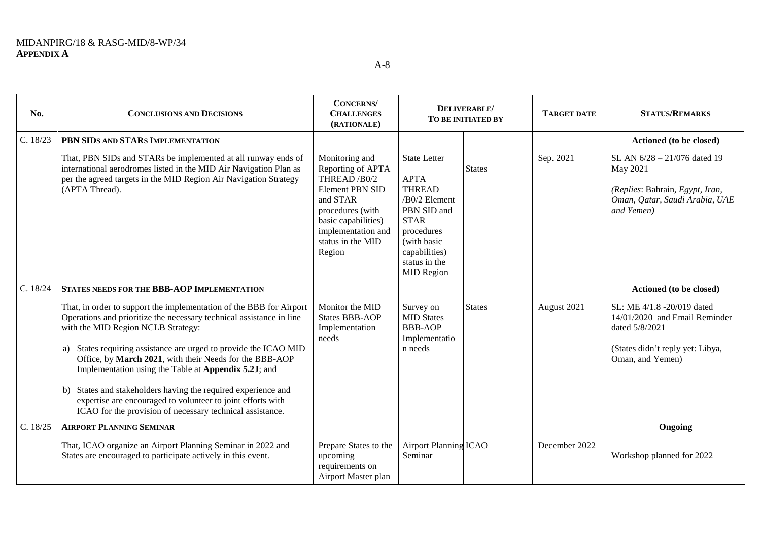**No. CONCLUSIONS AND DECISIONS CONCERNS/ CHALLENGES (RATIONALE) DELIVERABLE/ TO BE INITIATED BY TARGET DATE STATUS/REMARKS** C. 18/23 **PBN SIDS AND STARS IMPLEMENTATION Actioned (to be closed)** That, PBN SIDs and STARs be implemented at all runway ends of international aerodromes listed in the MID Air Navigation Plan as per the agreed targets in the MID Region Air Navigation Strategy (APTA Thread). Monitoring and Reporting of APTA THREAD /B0/2 Element PBN SID and STAR procedures (with basic capabilities) implementation and status in the MID Region State Letter APTA **THREAD** /B0/2 Element PBN SID and STAR procedures (with basic capabilities) status in the MID Region **States** Sep. 2021 SL AN  $6/28 - 21/076$  dated 19 May 2021 *(Replies*: Bahrain*, Egypt, Iran, Oman, Qatar, Saudi Arabia, UAE and Yemen)* C. 18/24 STATES NEEDS FOR THE BBB-AOP IMPLEMENTATION That, in order to support the implementation of the BBB for Airport Operations and prioritize the necessary technical assistance in line with the MID Region NCLB Strategy: a) States requiring assistance are urged to provide the ICAO MID Office, by **March 2021**, with their Needs for the BBB-AOP Implementation using the Table at **Appendix 5.2J**; and b) States and stakeholders having the required experience and expertise are encouraged to volunteer to joint efforts with ICAO for the provision of necessary technical assistance. Monitor the MID States BBB-AOP Implementation needs Survey on **MID** States BBB-AOP Implementatio n needs States August 2021 SL: ME 4/1.8 -20/019 dated 14/01/2020 and Email Reminder dated 5/8/2021 (States didn't reply yet: Libya, Oman, and Yemen) C. 18/25 **AIRPORT PLANNING SEMINAR Ongoing** That, ICAO organize an Airport Planning Seminar in 2022 and States are encouraged to participate actively in this event. Prepare States to the upcoming requirements on Airport Planning Seminar December 2022 Workshop planned for 2022

Airport Master plan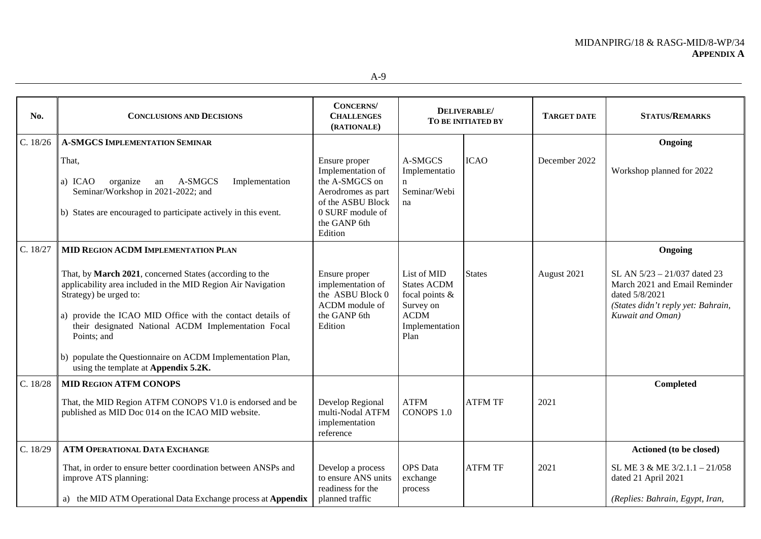| No.      | <b>CONCLUSIONS AND DECISIONS</b>                                                                                                                                                                                                                                                                                                                                                            | <b>CONCERNS</b><br><b>CHALLENGES</b><br>(RATIONALE)                                                                                            |                                                                                                              | DELIVERABLE/<br>TO BE INITIATED BY | <b>TARGET DATE</b> | <b>STATUS/REMARKS</b>                                                                                                                     |
|----------|---------------------------------------------------------------------------------------------------------------------------------------------------------------------------------------------------------------------------------------------------------------------------------------------------------------------------------------------------------------------------------------------|------------------------------------------------------------------------------------------------------------------------------------------------|--------------------------------------------------------------------------------------------------------------|------------------------------------|--------------------|-------------------------------------------------------------------------------------------------------------------------------------------|
| C. 18/26 | <b>A-SMGCS IMPLEMENTATION SEMINAR</b>                                                                                                                                                                                                                                                                                                                                                       |                                                                                                                                                |                                                                                                              |                                    |                    | Ongoing                                                                                                                                   |
|          | That,<br>organize<br>A-SMGCS<br>a) ICAO<br>Implementation<br>an<br>Seminar/Workshop in 2021-2022; and<br>b) States are encouraged to participate actively in this event.                                                                                                                                                                                                                    | Ensure proper<br>Implementation of<br>the A-SMGCS on<br>Aerodromes as part<br>of the ASBU Block<br>0 SURF module of<br>the GANP 6th<br>Edition | A-SMGCS<br>Implementatio<br>n<br>Seminar/Webi<br>na                                                          | <b>ICAO</b>                        | December 2022      | Workshop planned for 2022                                                                                                                 |
| C. 18/27 | MID REGION ACDM IMPLEMENTATION PLAN                                                                                                                                                                                                                                                                                                                                                         |                                                                                                                                                |                                                                                                              |                                    |                    | Ongoing                                                                                                                                   |
|          | That, by March 2021, concerned States (according to the<br>applicability area included in the MID Region Air Navigation<br>Strategy) be urged to:<br>a) provide the ICAO MID Office with the contact details of<br>their designated National ACDM Implementation Focal<br>Points; and<br>b) populate the Questionnaire on ACDM Implementation Plan,<br>using the template at Appendix 5.2K. | Ensure proper<br>implementation of<br>the ASBU Block 0<br>ACDM module of<br>the GANP 6th<br>Edition                                            | List of MID<br><b>States ACDM</b><br>focal points $\&$<br>Survey on<br><b>ACDM</b><br>Implementation<br>Plan | <b>States</b>                      | August 2021        | SL AN 5/23 - 21/037 dated 23<br>March 2021 and Email Reminder<br>dated 5/8/2021<br>(States didn't reply yet: Bahrain,<br>Kuwait and Oman) |
| C. 18/28 | <b>MID REGION ATFM CONOPS</b>                                                                                                                                                                                                                                                                                                                                                               |                                                                                                                                                |                                                                                                              |                                    |                    | <b>Completed</b>                                                                                                                          |
|          | That, the MID Region ATFM CONOPS V1.0 is endorsed and be<br>published as MID Doc 014 on the ICAO MID website.                                                                                                                                                                                                                                                                               | Develop Regional<br>multi-Nodal ATFM<br>implementation<br>reference                                                                            | <b>ATFM</b><br>CONOPS 1.0                                                                                    | <b>ATFM TF</b>                     | 2021               |                                                                                                                                           |
| C. 18/29 | ATM OPERATIONAL DATA EXCHANGE                                                                                                                                                                                                                                                                                                                                                               |                                                                                                                                                |                                                                                                              |                                    |                    | Actioned (to be closed)                                                                                                                   |
|          | That, in order to ensure better coordination between ANSPs and<br>improve ATS planning:                                                                                                                                                                                                                                                                                                     | Develop a process<br>to ensure ANS units<br>readiness for the                                                                                  | <b>OPS</b> Data<br>exchange<br>process                                                                       | <b>ATFM TF</b>                     | 2021               | SL ME 3 & ME 3/2.1.1 - 21/058<br>dated 21 April 2021                                                                                      |
|          | a) the MID ATM Operational Data Exchange process at Appendix                                                                                                                                                                                                                                                                                                                                | planned traffic                                                                                                                                |                                                                                                              |                                    |                    | (Replies: Bahrain, Egypt, Iran,                                                                                                           |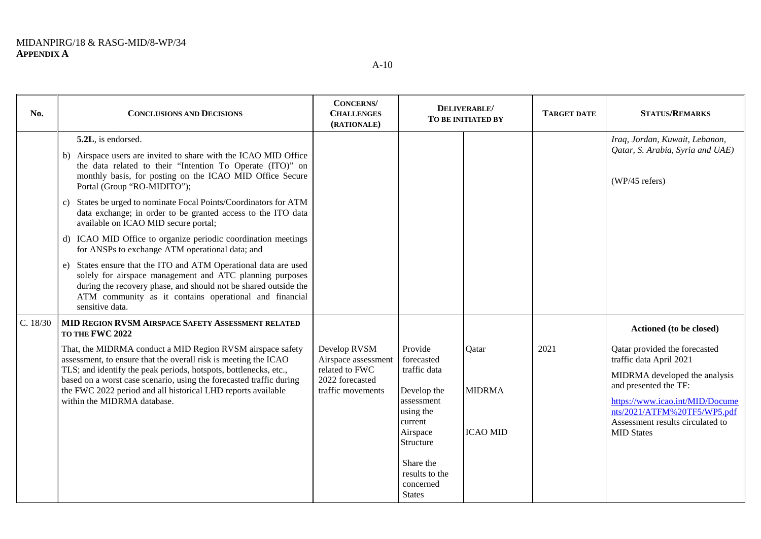| No.      | <b>CONCLUSIONS AND DECISIONS</b>                                                                                                                                                                                                                                                                                                                                                                                                                                                                                                                                                                                                                                                                                                                                                                                                   | <b>CONCERNS</b> /<br><b>CHALLENGES</b><br>(RATIONALE)                                         |                                                                                                                                                                 | DELIVERABLE/<br>TO BE INITIATED BY        | <b>TARGET DATE</b> | <b>STATUS/REMARKS</b>                                                                                                                                                                                                                                                    |
|----------|------------------------------------------------------------------------------------------------------------------------------------------------------------------------------------------------------------------------------------------------------------------------------------------------------------------------------------------------------------------------------------------------------------------------------------------------------------------------------------------------------------------------------------------------------------------------------------------------------------------------------------------------------------------------------------------------------------------------------------------------------------------------------------------------------------------------------------|-----------------------------------------------------------------------------------------------|-----------------------------------------------------------------------------------------------------------------------------------------------------------------|-------------------------------------------|--------------------|--------------------------------------------------------------------------------------------------------------------------------------------------------------------------------------------------------------------------------------------------------------------------|
|          | 5.2L, is endorsed.<br>b) Airspace users are invited to share with the ICAO MID Office<br>the data related to their "Intention To Operate (ITO)" on<br>monthly basis, for posting on the ICAO MID Office Secure<br>Portal (Group "RO-MIDITO");<br>States be urged to nominate Focal Points/Coordinators for ATM<br>c)<br>data exchange; in order to be granted access to the ITO data<br>available on ICAO MID secure portal;<br>d) ICAO MID Office to organize periodic coordination meetings<br>for ANSPs to exchange ATM operational data; and<br>States ensure that the ITO and ATM Operational data are used<br>e)<br>solely for airspace management and ATC planning purposes<br>during the recovery phase, and should not be shared outside the<br>ATM community as it contains operational and financial<br>sensitive data. |                                                                                               |                                                                                                                                                                 |                                           |                    | Iraq, Jordan, Kuwait, Lebanon,<br>Qatar, S. Arabia, Syria and UAE)<br>$(WP/45$ refers)                                                                                                                                                                                   |
| C. 18/30 | MID REGION RVSM AIRSPACE SAFETY ASSESSMENT RELATED<br>TO THE FWC 2022<br>That, the MIDRMA conduct a MID Region RVSM airspace safety<br>assessment, to ensure that the overall risk is meeting the ICAO<br>TLS; and identify the peak periods, hotspots, bottlenecks, etc.,<br>based on a worst case scenario, using the forecasted traffic during<br>the FWC 2022 period and all historical LHD reports available<br>within the MIDRMA database.                                                                                                                                                                                                                                                                                                                                                                                   | Develop RVSM<br>Airspace assessment<br>related to FWC<br>2022 forecasted<br>traffic movements | Provide<br>forecasted<br>traffic data<br>Develop the<br>assessment<br>using the<br>current<br>Airspace<br>Structure<br>Share the<br>results to the<br>concerned | Qatar<br><b>MIDRMA</b><br><b>ICAO MID</b> | 2021               | Actioned (to be closed)<br>Qatar provided the forecasted<br>traffic data April 2021<br>MIDRMA developed the analysis<br>and presented the TF:<br>https://www.icao.int/MID/Docume<br>nts/2021/ATFM%20TF5/WP5.pdf<br>Assessment results circulated to<br><b>MID States</b> |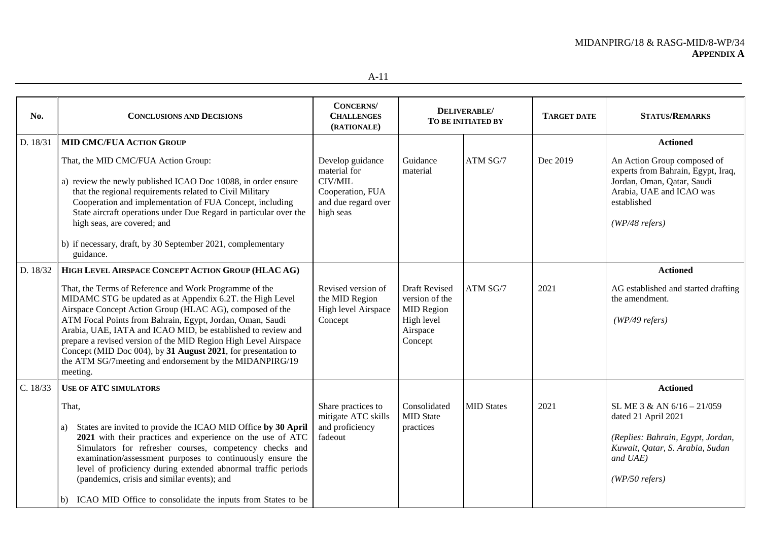| No.      | <b>CONCLUSIONS AND DECISIONS</b>                                                                                                                                                                                                                                                                                                                                                                                                                                                                                                                                               | <b>CONCERNS</b><br><b>CHALLENGES</b><br>(RATIONALE)                                                 |                                                                                           | DELIVERABLE/<br>TO BE INITIATED BY | <b>TARGET DATE</b> | <b>STATUS/REMARKS</b>                                                                                                                                                                |
|----------|--------------------------------------------------------------------------------------------------------------------------------------------------------------------------------------------------------------------------------------------------------------------------------------------------------------------------------------------------------------------------------------------------------------------------------------------------------------------------------------------------------------------------------------------------------------------------------|-----------------------------------------------------------------------------------------------------|-------------------------------------------------------------------------------------------|------------------------------------|--------------------|--------------------------------------------------------------------------------------------------------------------------------------------------------------------------------------|
| D. 18/31 | <b>MID CMC/FUA ACTION GROUP</b><br>That, the MID CMC/FUA Action Group:<br>a) review the newly published ICAO Doc 10088, in order ensure<br>that the regional requirements related to Civil Military<br>Cooperation and implementation of FUA Concept, including<br>State aircraft operations under Due Regard in particular over the<br>high seas, are covered; and<br>b) if necessary, draft, by 30 September 2021, complementary<br>guidance.                                                                                                                                | Develop guidance<br>material for<br>CIV/MIL<br>Cooperation, FUA<br>and due regard over<br>high seas | Guidance<br>material                                                                      | ATM SG/7                           | Dec 2019           | <b>Actioned</b><br>An Action Group composed of<br>experts from Bahrain, Egypt, Iraq,<br>Jordan, Oman, Qatar, Saudi<br>Arabia, UAE and ICAO was<br>established<br>$(WP/48 \, refers)$ |
| D. 18/32 | HIGH LEVEL AIRSPACE CONCEPT ACTION GROUP (HLAC AG)<br>That, the Terms of Reference and Work Programme of the<br>MIDAMC STG be updated as at Appendix 6.2T. the High Level<br>Airspace Concept Action Group (HLAC AG), composed of the<br>ATM Focal Points from Bahrain, Egypt, Jordan, Oman, Saudi<br>Arabia, UAE, IATA and ICAO MID, be established to review and<br>prepare a revised version of the MID Region High Level Airspace<br>Concept (MID Doc 004), by 31 August 2021, for presentation to<br>the ATM SG/7 meeting and endorsement by the MIDANPIRG/19<br>meeting. | Revised version of<br>the MID Region<br>High level Airspace<br>Concept                              | Draft Revised<br>version of the<br><b>MID Region</b><br>High level<br>Airspace<br>Concept | ATM SG/7                           | 2021               | <b>Actioned</b><br>AG established and started drafting<br>the amendment.<br>$(WP/49$ refers)                                                                                         |
| C. 18/33 | <b>USE OF ATC SIMULATORS</b><br>That,<br>States are invited to provide the ICAO MID Office by 30 April<br>a)<br>2021 with their practices and experience on the use of ATC<br>Simulators for refresher courses, competency checks and<br>examination/assessment purposes to continuously ensure the<br>level of proficiency during extended abnormal traffic periods<br>(pandemics, crisis and similar events); and<br>b) ICAO MID Office to consolidate the inputs from States to be                                                                                          | Share practices to<br>mitigate ATC skills<br>and proficiency<br>fadeout                             | Consolidated<br><b>MID State</b><br>practices                                             | <b>MID States</b>                  | 2021               | <b>Actioned</b><br>SL ME 3 & AN 6/16 - 21/059<br>dated 21 April 2021<br>(Replies: Bahrain, Egypt, Jordan,<br>Kuwait, Qatar, S. Arabia, Sudan<br>and UAE)<br>$(WP/50 \text{ refers})$ |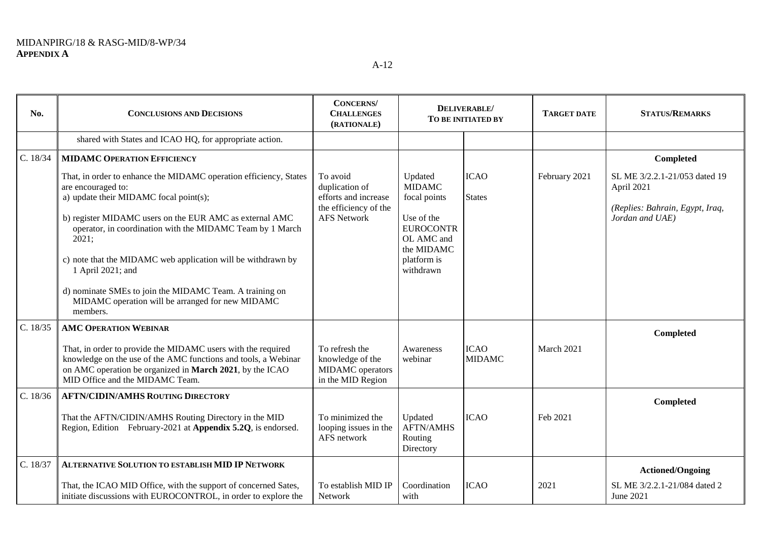| No.      | <b>CONCLUSIONS AND DECISIONS</b>                                                                                                                                                                                                                                                                                                                                                                                                                                                   | <b>CONCERNS</b><br><b>CHALLENGES</b><br>(RATIONALE)                                               | DELIVERABLE/<br>TO BE INITIATED BY                                                                                                 |                              | <b>TARGET DATE</b> | <b>STATUS/REMARKS</b>                                                                             |
|----------|------------------------------------------------------------------------------------------------------------------------------------------------------------------------------------------------------------------------------------------------------------------------------------------------------------------------------------------------------------------------------------------------------------------------------------------------------------------------------------|---------------------------------------------------------------------------------------------------|------------------------------------------------------------------------------------------------------------------------------------|------------------------------|--------------------|---------------------------------------------------------------------------------------------------|
|          | shared with States and ICAO HQ, for appropriate action.                                                                                                                                                                                                                                                                                                                                                                                                                            |                                                                                                   |                                                                                                                                    |                              |                    |                                                                                                   |
| C. 18/34 | <b>MIDAMC OPERATION EFFICIENCY</b>                                                                                                                                                                                                                                                                                                                                                                                                                                                 |                                                                                                   |                                                                                                                                    |                              |                    | Completed                                                                                         |
|          | That, in order to enhance the MIDAMC operation efficiency, States<br>are encouraged to:<br>a) update their MIDAMC focal point(s);<br>b) register MIDAMC users on the EUR AMC as external AMC<br>operator, in coordination with the MIDAMC Team by 1 March<br>2021;<br>c) note that the MIDAMC web application will be withdrawn by<br>1 April 2021; and<br>d) nominate SMEs to join the MIDAMC Team. A training on<br>MIDAMC operation will be arranged for new MIDAMC<br>members. | To avoid<br>duplication of<br>efforts and increase<br>the efficiency of the<br><b>AFS Network</b> | Updated<br><b>MIDAMC</b><br>focal points<br>Use of the<br><b>EUROCONTR</b><br>OL AMC and<br>the MIDAMC<br>platform is<br>withdrawn | <b>ICAO</b><br><b>States</b> | February 2021      | SL ME 3/2.2.1-21/053 dated 19<br>April 2021<br>(Replies: Bahrain, Egypt, Iraq,<br>Jordan and UAE) |
| C. 18/35 | <b>AMC OPERATION WEBINAR</b>                                                                                                                                                                                                                                                                                                                                                                                                                                                       |                                                                                                   |                                                                                                                                    |                              |                    | Completed                                                                                         |
|          | That, in order to provide the MIDAMC users with the required<br>knowledge on the use of the AMC functions and tools, a Webinar<br>on AMC operation be organized in March 2021, by the ICAO<br>MID Office and the MIDAMC Team.                                                                                                                                                                                                                                                      | To refresh the<br>knowledge of the<br>MIDAMC operators<br>in the MID Region                       | Awareness<br>webinar                                                                                                               | <b>ICAO</b><br><b>MIDAMC</b> | March 2021         |                                                                                                   |
| C. 18/36 | <b>AFTN/CIDIN/AMHS ROUTING DIRECTORY</b>                                                                                                                                                                                                                                                                                                                                                                                                                                           |                                                                                                   |                                                                                                                                    |                              |                    | Completed                                                                                         |
|          | That the AFTN/CIDIN/AMHS Routing Directory in the MID<br>Region, Edition February-2021 at Appendix 5.2Q, is endorsed.                                                                                                                                                                                                                                                                                                                                                              | To minimized the<br>looping issues in the<br>AFS network                                          | Updated<br><b>AFTN/AMHS</b><br>Routing<br>Directory                                                                                | <b>ICAO</b>                  | Feb 2021           |                                                                                                   |
| C. 18/37 | ALTERNATIVE SOLUTION TO ESTABLISH MID IP NETWORK                                                                                                                                                                                                                                                                                                                                                                                                                                   |                                                                                                   |                                                                                                                                    |                              |                    | <b>Actioned/Ongoing</b>                                                                           |
|          | That, the ICAO MID Office, with the support of concerned Sates,<br>initiate discussions with EUROCONTROL, in order to explore the                                                                                                                                                                                                                                                                                                                                                  | To establish MID IP<br>Network                                                                    | Coordination<br>with                                                                                                               | <b>ICAO</b>                  | 2021               | SL ME 3/2.2.1-21/084 dated 2<br>June 2021                                                         |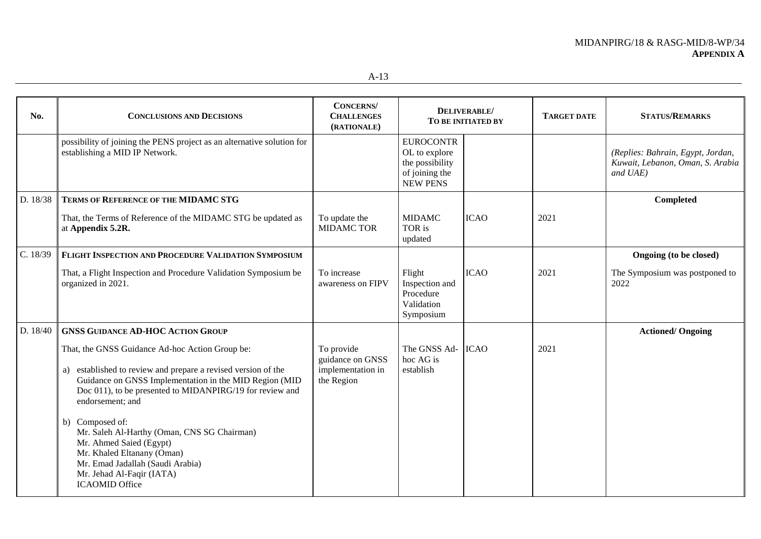| No.      | <b>CONCLUSIONS AND DECISIONS</b>                                                                                                                                                                                                                                                                                             | <b>CONCERNS</b> /<br><b>CHALLENGES</b><br>(RATIONALE)             |                                                                                           | <b>DELIVERABLE/</b><br>TO BE INITIATED BY | <b>TARGET DATE</b> | <b>STATUS/REMARKS</b>                                                             |
|----------|------------------------------------------------------------------------------------------------------------------------------------------------------------------------------------------------------------------------------------------------------------------------------------------------------------------------------|-------------------------------------------------------------------|-------------------------------------------------------------------------------------------|-------------------------------------------|--------------------|-----------------------------------------------------------------------------------|
|          | possibility of joining the PENS project as an alternative solution for<br>establishing a MID IP Network.                                                                                                                                                                                                                     |                                                                   | <b>EUROCONTR</b><br>OL to explore<br>the possibility<br>of joining the<br><b>NEW PENS</b> |                                           |                    | (Replies: Bahrain, Egypt, Jordan,<br>Kuwait, Lebanon, Oman, S. Arabia<br>and UAE) |
| D. 18/38 | <b>TERMS OF REFERENCE OF THE MIDAMC STG</b>                                                                                                                                                                                                                                                                                  |                                                                   |                                                                                           |                                           |                    | Completed                                                                         |
|          | That, the Terms of Reference of the MIDAMC STG be updated as<br>at Appendix 5.2R.                                                                                                                                                                                                                                            | To update the<br><b>MIDAMC TOR</b>                                | <b>MIDAMC</b><br>TOR is<br>updated                                                        | <b>ICAO</b>                               | 2021               |                                                                                   |
| C. 18/39 | FLIGHT INSPECTION AND PROCEDURE VALIDATION SYMPOSIUM                                                                                                                                                                                                                                                                         |                                                                   |                                                                                           |                                           |                    | Ongoing (to be closed)                                                            |
|          | That, a Flight Inspection and Procedure Validation Symposium be<br>organized in 2021.                                                                                                                                                                                                                                        | To increase<br>awareness on FIPV                                  | Flight<br>Inspection and<br>Procedure<br>Validation<br>Symposium                          | <b>ICAO</b>                               | 2021               | The Symposium was postponed to<br>2022                                            |
| D. 18/40 | <b>GNSS GUIDANCE AD-HOC ACTION GROUP</b>                                                                                                                                                                                                                                                                                     |                                                                   |                                                                                           |                                           |                    | <b>Actioned/ Ongoing</b>                                                          |
|          | That, the GNSS Guidance Ad-hoc Action Group be:<br>a) established to review and prepare a revised version of the<br>Guidance on GNSS Implementation in the MID Region (MID<br>Doc 011), to be presented to MIDANPIRG/19 for review and<br>endorsement; and<br>b) Composed of:<br>Mr. Saleh Al-Harthy (Oman, CNS SG Chairman) | To provide<br>guidance on GNSS<br>implementation in<br>the Region | The GNSS Ad- ICAO<br>hoc AG is<br>establish                                               |                                           | 2021               |                                                                                   |
|          | Mr. Ahmed Saied (Egypt)<br>Mr. Khaled Eltanany (Oman)<br>Mr. Emad Jadallah (Saudi Arabia)<br>Mr. Jehad Al-Faqir (IATA)<br><b>ICAOMID Office</b>                                                                                                                                                                              |                                                                   |                                                                                           |                                           |                    |                                                                                   |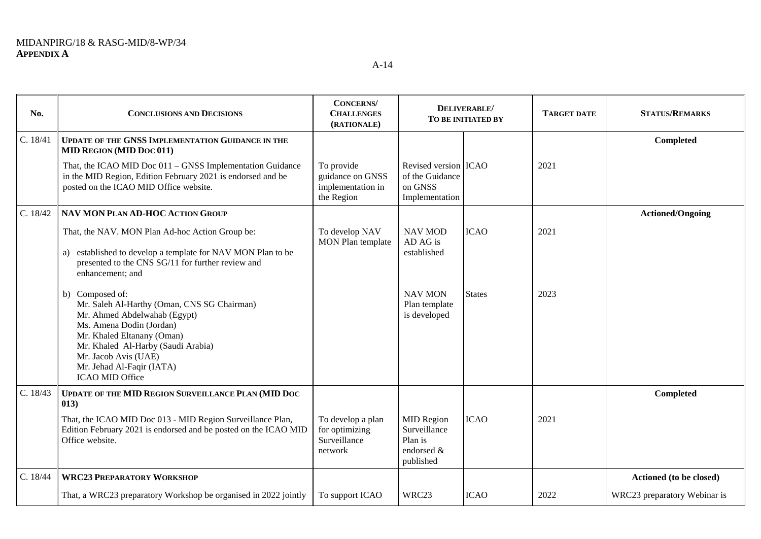**No. CONCLUSIONS AND DECISIONS CONCERNS/ CHALLENGES (RATIONALE) DELIVERABLE/ TO BE INITIATED BY TARGET DATE STATUS/REMARKS** C. 18/41 **UPDATE OF THE GNSS IMPLEMENTATION GUIDANCE IN THE MID REGION (MID DOC 011) Completed**  That, the ICAO MID Doc 011 – GNSS Implementation Guidance in the MID Region, Edition February 2021 is endorsed and be posted on the ICAO MID Office website. To provide guidance on GNSS implementation in the Region Revised version ICAO 2021 of the Guidance on GNSS Implementation C. 18/42 **NAV MON PLAN AD-HOC ACTION GROUP Actioned/Ongoing** That, the NAV. MON Plan Ad-hoc Action Group be: a) established to develop a template for NAV MON Plan to be presented to the CNS SG/11 for further review and enhancement; and b) Composed of: Mr. Saleh Al-Harthy (Oman, CNS SG Chairman) Mr. Ahmed Abdelwahab (Egypt) Ms. Amena Dodin (Jordan) Mr. Khaled Eltanany (Oman) Mr. Khaled Al-Harby (Saudi Arabia) Mr. Jacob Avis (UAE) Mr. Jehad Al-Faqir (IATA) ICAO MID Office To develop NAV MON Plan template NAV MOD AD AG is established NAV MON Plan template is developed ICAO **States** 2021 2023 C. 18/43 **UPDATE OF THE MID REGION SURVEILLANCE PLAN (MID DOC 013) Completed**  That, the ICAO MID Doc 013 - MID Region Surveillance Plan, Edition February 2021 is endorsed and be posted on the ICAO MID Office website. To develop a plan for optimizing Surveillance MID Region Surveillance Plan is ICAO 2021

> endorsed & published

network

C. 18/44 **WRC23 PREPARATORY WORKSHOP Actioned (to be closed)**

That, a WRC23 preparatory Workshop be organised in 2022 jointly | To support ICAO WRC23 ICAO 2022 WRC23 preparatory Webinar is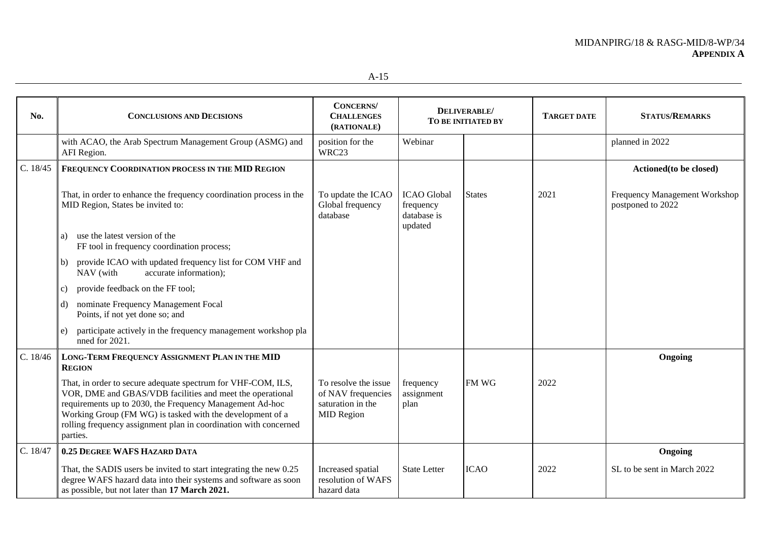| No.      | <b>CONCLUSIONS AND DECISIONS</b>                                                                                                                                                                                                                                                                                                   | <b>CONCERNS</b><br><b>CHALLENGES</b><br>(RATIONALE)                                  | DELIVERABLE/<br>TO BE INITIATED BY                        |               | <b>TARGET DATE</b> | <b>STATUS/REMARKS</b>                              |
|----------|------------------------------------------------------------------------------------------------------------------------------------------------------------------------------------------------------------------------------------------------------------------------------------------------------------------------------------|--------------------------------------------------------------------------------------|-----------------------------------------------------------|---------------|--------------------|----------------------------------------------------|
|          | with ACAO, the Arab Spectrum Management Group (ASMG) and<br>AFI Region.                                                                                                                                                                                                                                                            | position for the<br>WRC23                                                            | Webinar                                                   |               |                    | planned in 2022                                    |
| C. 18/45 | FREQUENCY COORDINATION PROCESS IN THE MID REGION                                                                                                                                                                                                                                                                                   |                                                                                      |                                                           |               |                    | Actioned (to be closed)                            |
|          | That, in order to enhance the frequency coordination process in the<br>MID Region, States be invited to:                                                                                                                                                                                                                           | To update the ICAO<br>Global frequency<br>database                                   | <b>ICAO</b> Global<br>frequency<br>database is<br>updated | <b>States</b> | 2021               | Frequency Management Workshop<br>postponed to 2022 |
|          | use the latest version of the<br>a)<br>FF tool in frequency coordination process;                                                                                                                                                                                                                                                  |                                                                                      |                                                           |               |                    |                                                    |
|          | provide ICAO with updated frequency list for COM VHF and<br>b)<br>accurate information);<br>NAV (with                                                                                                                                                                                                                              |                                                                                      |                                                           |               |                    |                                                    |
|          | provide feedback on the FF tool;<br>C)                                                                                                                                                                                                                                                                                             |                                                                                      |                                                           |               |                    |                                                    |
|          | nominate Frequency Management Focal<br>d).<br>Points, if not yet done so; and                                                                                                                                                                                                                                                      |                                                                                      |                                                           |               |                    |                                                    |
|          | participate actively in the frequency management workshop pla<br>e)<br>nned for 2021.                                                                                                                                                                                                                                              |                                                                                      |                                                           |               |                    |                                                    |
| C. 18/46 | LONG-TERM FREQUENCY ASSIGNMENT PLAN IN THE MID<br><b>REGION</b>                                                                                                                                                                                                                                                                    |                                                                                      |                                                           |               |                    | Ongoing                                            |
|          | That, in order to secure adequate spectrum for VHF-COM, ILS,<br>VOR, DME and GBAS/VDB facilities and meet the operational<br>requirements up to 2030, the Frequency Management Ad-hoc<br>Working Group (FM WG) is tasked with the development of a<br>rolling frequency assignment plan in coordination with concerned<br>parties. | To resolve the issue<br>of NAV frequencies<br>saturation in the<br><b>MID Region</b> | frequency<br>assignment<br>plan                           | FM WG         | 2022               |                                                    |
| C. 18/47 | 0.25 DEGREE WAFS HAZARD DATA                                                                                                                                                                                                                                                                                                       |                                                                                      |                                                           |               |                    | Ongoing                                            |
|          | That, the SADIS users be invited to start integrating the new 0.25<br>degree WAFS hazard data into their systems and software as soon<br>as possible, but not later than 17 March 2021.                                                                                                                                            | Increased spatial<br>resolution of WAFS<br>hazard data                               | <b>State Letter</b>                                       | <b>ICAO</b>   | 2022               | SL to be sent in March 2022                        |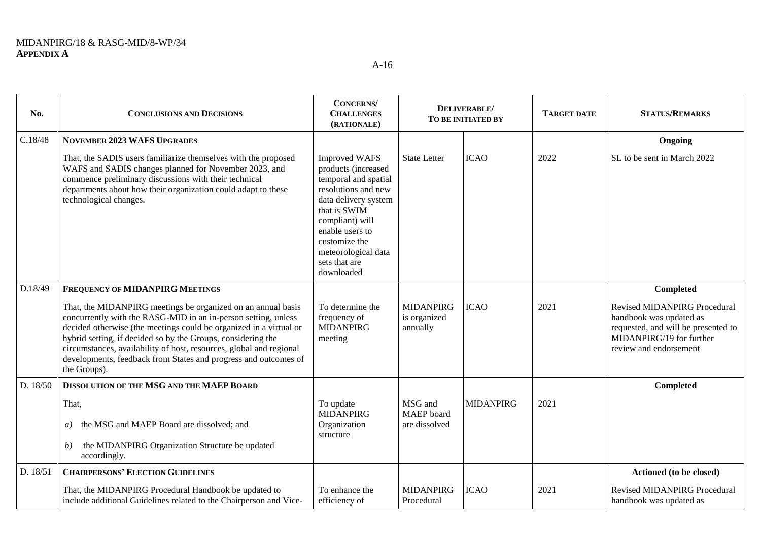| No.      | <b>CONCLUSIONS AND DECISIONS</b>                                                                                                                                                                                                                                                                                                                                                                                               | <b>CONCERNS</b><br><b>CHALLENGES</b><br>(RATIONALE)                                                                                                                                                                                             | DELIVERABLE/<br>TO BE INITIATED BY           |                  | <b>TARGET DATE</b> | <b>STATUS/REMARKS</b>                                                                                                                                       |
|----------|--------------------------------------------------------------------------------------------------------------------------------------------------------------------------------------------------------------------------------------------------------------------------------------------------------------------------------------------------------------------------------------------------------------------------------|-------------------------------------------------------------------------------------------------------------------------------------------------------------------------------------------------------------------------------------------------|----------------------------------------------|------------------|--------------------|-------------------------------------------------------------------------------------------------------------------------------------------------------------|
| C.18/48  | <b>NOVEMBER 2023 WAFS UPGRADES</b>                                                                                                                                                                                                                                                                                                                                                                                             |                                                                                                                                                                                                                                                 |                                              |                  |                    | Ongoing                                                                                                                                                     |
|          | That, the SADIS users familiarize themselves with the proposed<br>WAFS and SADIS changes planned for November 2023, and<br>commence preliminary discussions with their technical<br>departments about how their organization could adapt to these<br>technological changes.                                                                                                                                                    | <b>Improved WAFS</b><br>products (increased<br>temporal and spatial<br>resolutions and new<br>data delivery system<br>that is SWIM<br>compliant) will<br>enable users to<br>customize the<br>meteorological data<br>sets that are<br>downloaded | <b>State Letter</b>                          | <b>ICAO</b>      | 2022               | SL to be sent in March 2022                                                                                                                                 |
| D.18/49  | <b>FREQUENCY OF MIDANPIRG MEETINGS</b>                                                                                                                                                                                                                                                                                                                                                                                         |                                                                                                                                                                                                                                                 |                                              |                  |                    | Completed                                                                                                                                                   |
|          | That, the MIDANPIRG meetings be organized on an annual basis<br>concurrently with the RASG-MID in an in-person setting, unless<br>decided otherwise (the meetings could be organized in a virtual or<br>hybrid setting, if decided so by the Groups, considering the<br>circumstances, availability of host, resources, global and regional<br>developments, feedback from States and progress and outcomes of<br>the Groups). | To determine the<br>frequency of<br><b>MIDANPIRG</b><br>meeting                                                                                                                                                                                 | <b>MIDANPIRG</b><br>is organized<br>annually | <b>ICAO</b>      | 2021               | <b>Revised MIDANPIRG Procedural</b><br>handbook was updated as<br>requested, and will be presented to<br>MIDANPIRG/19 for further<br>review and endorsement |
| D. 18/50 | DISSOLUTION OF THE MSG AND THE MAEP BOARD                                                                                                                                                                                                                                                                                                                                                                                      |                                                                                                                                                                                                                                                 |                                              |                  |                    | Completed                                                                                                                                                   |
|          | That,<br>the MSG and MAEP Board are dissolved; and<br>a)<br>the MIDANPIRG Organization Structure be updated<br>b)<br>accordingly.                                                                                                                                                                                                                                                                                              | To update<br><b>MIDANPIRG</b><br>Organization<br>structure                                                                                                                                                                                      | MSG and<br>MAEP board<br>are dissolved       | <b>MIDANPIRG</b> | 2021               |                                                                                                                                                             |
| D. 18/51 | <b>CHAIRPERSONS' ELECTION GUIDELINES</b>                                                                                                                                                                                                                                                                                                                                                                                       |                                                                                                                                                                                                                                                 |                                              |                  |                    | Actioned (to be closed)                                                                                                                                     |
|          | That, the MIDANPIRG Procedural Handbook be updated to<br>include additional Guidelines related to the Chairperson and Vice-                                                                                                                                                                                                                                                                                                    | To enhance the<br>efficiency of                                                                                                                                                                                                                 | <b>MIDANPIRG</b><br>Procedural               | <b>ICAO</b>      | 2021               | <b>Revised MIDANPIRG Procedural</b><br>handbook was updated as                                                                                              |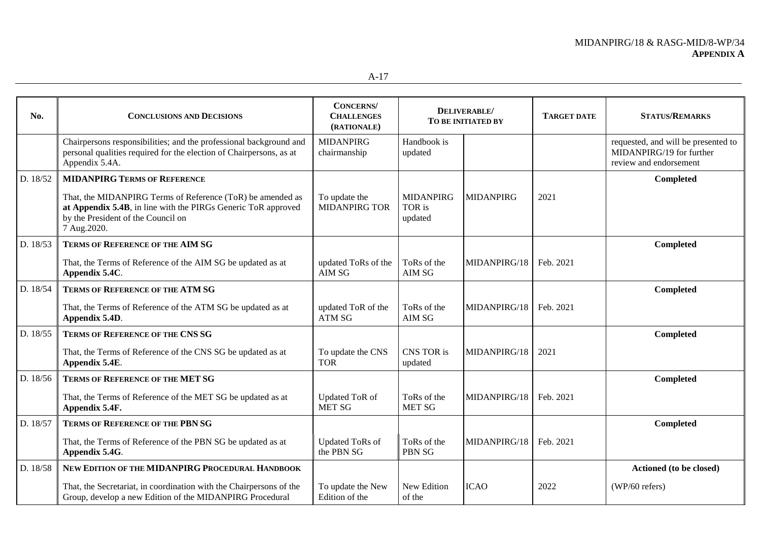| No.      | <b>CONCLUSIONS AND DECISIONS</b>                                                                                                                                                  | <b>CONCERNS</b><br><b>CHALLENGES</b><br>(RATIONALE) | DELIVERABLE/<br>TO BE INITIATED BY    |                  | <b>TARGET DATE</b> | <b>STATUS/REMARKS</b>                                                                     |
|----------|-----------------------------------------------------------------------------------------------------------------------------------------------------------------------------------|-----------------------------------------------------|---------------------------------------|------------------|--------------------|-------------------------------------------------------------------------------------------|
|          | Chairpersons responsibilities; and the professional background and<br>personal qualities required for the election of Chairpersons, as at<br>Appendix 5.4A.                       | <b>MIDANPIRG</b><br>chairmanship                    | Handbook is<br>updated                |                  |                    | requested, and will be presented to<br>MIDANPIRG/19 for further<br>review and endorsement |
| D. 18/52 | <b>MIDANPIRG TERMS OF REFERENCE</b>                                                                                                                                               |                                                     |                                       |                  |                    | Completed                                                                                 |
|          | That, the MIDANPIRG Terms of Reference (ToR) be amended as<br>at Appendix 5.4B, in line with the PIRGs Generic ToR approved<br>by the President of the Council on<br>7 Aug. 2020. | To update the<br><b>MIDANPIRG TOR</b>               | <b>MIDANPIRG</b><br>TOR is<br>updated | <b>MIDANPIRG</b> | 2021               |                                                                                           |
| D. 18/53 | <b>TERMS OF REFERENCE OF THE AIM SG</b>                                                                                                                                           |                                                     |                                       |                  |                    | Completed                                                                                 |
|          | That, the Terms of Reference of the AIM SG be updated as at<br>Appendix 5.4C.                                                                                                     | updated ToRs of the<br>AIM SG                       | ToRs of the<br>AIM SG                 | MIDANPIRG/18     | Feb. 2021          |                                                                                           |
| D. 18/54 | <b>TERMS OF REFERENCE OF THE ATM SG</b>                                                                                                                                           |                                                     |                                       |                  |                    | Completed                                                                                 |
|          | That, the Terms of Reference of the ATM SG be updated as at<br>Appendix 5.4D.                                                                                                     | updated ToR of the<br><b>ATM SG</b>                 | ToRs of the<br>AIM SG                 | MIDANPIRG/18     | Feb. 2021          |                                                                                           |
| D. 18/55 | <b>TERMS OF REFERENCE OF THE CNS SG</b>                                                                                                                                           |                                                     |                                       |                  |                    | Completed                                                                                 |
|          | That, the Terms of Reference of the CNS SG be updated as at<br>Appendix 5.4E.                                                                                                     | To update the CNS<br><b>TOR</b>                     | CNS TOR is<br>updated                 | MIDANPIRG/18     | 2021               |                                                                                           |
| D. 18/56 | <b>TERMS OF REFERENCE OF THE MET SG</b>                                                                                                                                           |                                                     |                                       |                  |                    | Completed                                                                                 |
|          | That, the Terms of Reference of the MET SG be updated as at<br>Appendix 5.4F.                                                                                                     | Updated ToR of<br><b>MET SG</b>                     | ToRs of the<br><b>MET SG</b>          | MIDANPIRG/18     | Feb. 2021          |                                                                                           |
| D. 18/57 | <b>TERMS OF REFERENCE OF THE PBN SG</b>                                                                                                                                           |                                                     |                                       |                  |                    | Completed                                                                                 |
|          | That, the Terms of Reference of the PBN SG be updated as at<br>Appendix 5.4G.                                                                                                     | <b>Updated ToRs of</b><br>the PBN SG                | ToRs of the<br><b>PBN SG</b>          | MIDANPIRG/18     | Feb. 2021          |                                                                                           |
| D. 18/58 | NEW EDITION OF THE MIDANPIRG PROCEDURAL HANDBOOK                                                                                                                                  |                                                     |                                       |                  |                    | Actioned (to be closed)                                                                   |
|          | That, the Secretariat, in coordination with the Chairpersons of the<br>Group, develop a new Edition of the MIDANPIRG Procedural                                                   | To update the New<br>Edition of the                 | New Edition<br>of the                 | <b>ICAO</b>      | 2022               | (WP/60 refers)                                                                            |